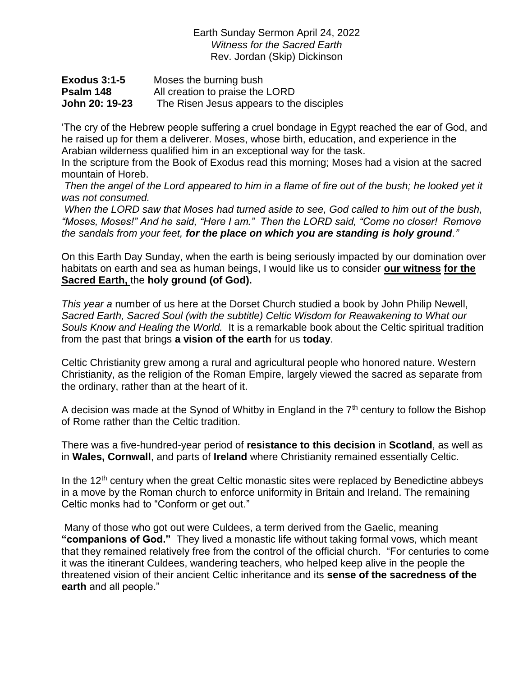Earth Sunday Sermon April 24, 2022 *Witness for the Sacred Earth* Rev. Jordan (Skip) Dickinson

| <b>Exodus 3:1-5</b> | Moses the burning bush                   |
|---------------------|------------------------------------------|
| Psalm 148           | All creation to praise the LORD          |
| John 20: 19-23      | The Risen Jesus appears to the disciples |

'The cry of the Hebrew people suffering a cruel bondage in Egypt reached the ear of God, and he raised up for them a deliverer. Moses, whose birth, education, and experience in the Arabian wilderness qualified him in an exceptional way for the task.

In the scripture from the Book of Exodus read this morning; Moses had a vision at the sacred mountain of Horeb.

*Then the angel of the Lord appeared to him in a flame of fire out of the bush; he looked yet it was not consumed.*

*When the LORD saw that Moses had turned aside to see, God called to him out of the bush, "Moses, Moses!" And he said, "Here I am." Then the LORD said, "Come no closer! Remove the sandals from your feet, for the place on which you are standing is holy ground."*

On this Earth Day Sunday, when the earth is being seriously impacted by our domination over habitats on earth and sea as human beings, I would like us to consider **our witness for the Sacred Earth,** the **holy ground (of God).**

*This year a* number of us here at the Dorset Church studied a book by John Philip Newell, *Sacred Earth, Sacred Soul (with the subtitle) Celtic Wisdom for Reawakening to What our Souls Know and Healing the World.* It is a remarkable book about the Celtic spiritual tradition from the past that brings **a vision of the earth** for us **today**.

Celtic Christianity grew among a rural and agricultural people who honored nature. Western Christianity, as the religion of the Roman Empire, largely viewed the sacred as separate from the ordinary, rather than at the heart of it.

A decision was made at the Synod of Whitby in England in the  $7<sup>th</sup>$  century to follow the Bishop of Rome rather than the Celtic tradition.

There was a five-hundred-year period of **resistance to this decision** in **Scotland**, as well as in **Wales, Cornwall**, and parts of **Ireland** where Christianity remained essentially Celtic.

In the  $12<sup>th</sup>$  century when the great Celtic monastic sites were replaced by Benedictine abbeys in a move by the Roman church to enforce uniformity in Britain and Ireland. The remaining Celtic monks had to "Conform or get out."

Many of those who got out were Culdees, a term derived from the Gaelic, meaning **"companions of God."** They lived a monastic life without taking formal vows, which meant that they remained relatively free from the control of the official church. "For centuries to come it was the itinerant Culdees, wandering teachers, who helped keep alive in the people the threatened vision of their ancient Celtic inheritance and its **sense of the sacredness of the earth** and all people."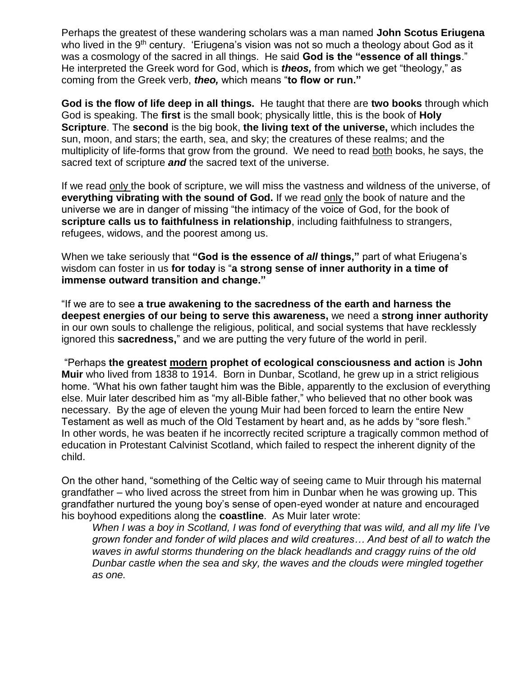Perhaps the greatest of these wandering scholars was a man named **John Scotus Eriugena** who lived in the 9<sup>th</sup> century. 'Eriugena's vision was not so much a theology about God as it was a cosmology of the sacred in all things. He said **God is the "essence of all things**." He interpreted the Greek word for God, which is *theos,* from which we get "theology," as coming from the Greek verb, *theo,* which means "**to flow or run."**

**God is the flow of life deep in all things.** He taught that there are **two books** through which God is speaking. The **first** is the small book; physically little, this is the book of **Holy Scripture**. The **second** is the big book, **the living text of the universe,** which includes the sun, moon, and stars; the earth, sea, and sky; the creatures of these realms; and the multiplicity of life-forms that grow from the ground. We need to read both books, he says, the sacred text of scripture *and* the sacred text of the universe.

If we read only the book of scripture, we will miss the vastness and wildness of the universe, of **everything vibrating with the sound of God.** If we read only the book of nature and the universe we are in danger of missing "the intimacy of the voice of God, for the book of **scripture calls us to faithfulness in relationship**, including faithfulness to strangers, refugees, widows, and the poorest among us.

When we take seriously that **"God is the essence of** *all* **things,"** part of what Eriugena's wisdom can foster in us **for today** is "**a strong sense of inner authority in a time of immense outward transition and change."**

"If we are to see **a true awakening to the sacredness of the earth and harness the deepest energies of our being to serve this awareness,** we need a **strong inner authority** in our own souls to challenge the religious, political, and social systems that have recklessly ignored this **sacredness,**" and we are putting the very future of the world in peril.

"Perhaps **the greatest modern prophet of ecological consciousness and action** is **John Muir** who lived from 1838 to 1914. Born in Dunbar, Scotland, he grew up in a strict religious home. "What his own father taught him was the Bible, apparently to the exclusion of everything else. Muir later described him as "my all-Bible father," who believed that no other book was necessary. By the age of eleven the young Muir had been forced to learn the entire New Testament as well as much of the Old Testament by heart and, as he adds by "sore flesh." In other words, he was beaten if he incorrectly recited scripture a tragically common method of education in Protestant Calvinist Scotland, which failed to respect the inherent dignity of the child.

On the other hand, "something of the Celtic way of seeing came to Muir through his maternal grandfather – who lived across the street from him in Dunbar when he was growing up. This grandfather nurtured the young boy's sense of open-eyed wonder at nature and encouraged his boyhood expeditions along the **coastline**. As Muir later wrote:

*When I was a boy in Scotland, I was fond of everything that was wild, and all my life I've grown fonder and fonder of wild places and wild creatures… And best of all to watch the waves in awful storms thundering on the black headlands and craggy ruins of the old Dunbar castle when the sea and sky, the waves and the clouds were mingled together as one.*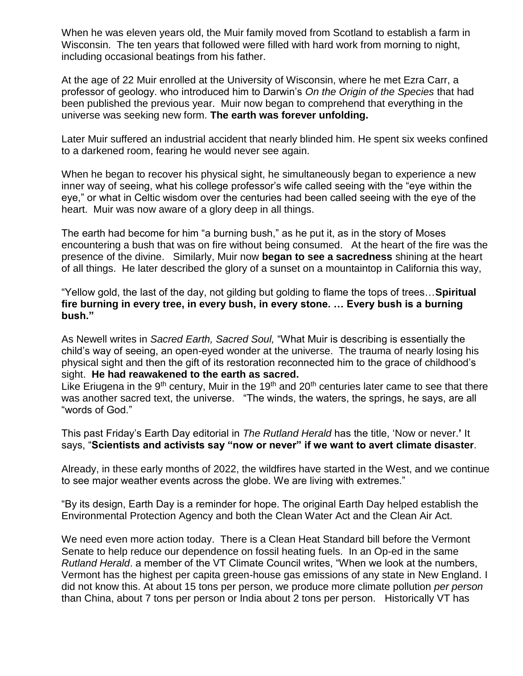When he was eleven years old, the Muir family moved from Scotland to establish a farm in Wisconsin. The ten years that followed were filled with hard work from morning to night, including occasional beatings from his father.

At the age of 22 Muir enrolled at the University of Wisconsin, where he met Ezra Carr, a professor of geology. who introduced him to Darwin's *On the Origin of the Species* that had been published the previous year. Muir now began to comprehend that everything in the universe was seeking new form. **The earth was forever unfolding.** 

Later Muir suffered an industrial accident that nearly blinded him. He spent six weeks confined to a darkened room, fearing he would never see again.

When he began to recover his physical sight, he simultaneously began to experience a new inner way of seeing, what his college professor's wife called seeing with the "eye within the eye," or what in Celtic wisdom over the centuries had been called seeing with the eye of the heart. Muir was now aware of a glory deep in all things.

The earth had become for him "a burning bush," as he put it, as in the story of Moses encountering a bush that was on fire without being consumed. At the heart of the fire was the presence of the divine. Similarly, Muir now **began to see a sacredness** shining at the heart of all things. He later described the glory of a sunset on a mountaintop in California this way,

"Yellow gold, the last of the day, not gilding but golding to flame the tops of trees…**Spiritual fire burning in every tree, in every bush, in every stone. … Every bush is a burning bush."**

As Newell writes in *Sacred Earth, Sacred Soul,* "What Muir is describing is essentially the child's way of seeing, an open-eyed wonder at the universe. The trauma of nearly losing his physical sight and then the gift of its restoration reconnected him to the grace of childhood's sight. **He had reawakened to the earth as sacred.** 

Like Eriugena in the 9<sup>th</sup> century, Muir in the 19<sup>th</sup> and 20<sup>th</sup> centuries later came to see that there was another sacred text, the universe. "The winds, the waters, the springs, he says, are all "words of God."

This past Friday's Earth Day editorial in *The Rutland Herald* has the title, 'Now or never.**'** It says, "**Scientists and activists say "now or never" if we want to avert climate disaster**.

Already, in these early months of 2022, the wildfires have started in the West, and we continue to see major weather events across the globe. We are living with extremes."

"By its design, Earth Day is a reminder for hope. The original Earth Day helped establish the Environmental Protection Agency and both the Clean Water Act and the Clean Air Act.

We need even more action today. There is a Clean Heat Standard bill before the Vermont Senate to help reduce our dependence on fossil heating fuels. In an Op-ed in the same *Rutland Herald*. a member of the VT Climate Council writes, "When we look at the numbers, Vermont has the highest per capita green-house gas emissions of any state in New England. I did not know this. At about 15 tons per person, we produce more climate pollution *per person* than China, about 7 tons per person or India about 2 tons per person. Historically VT has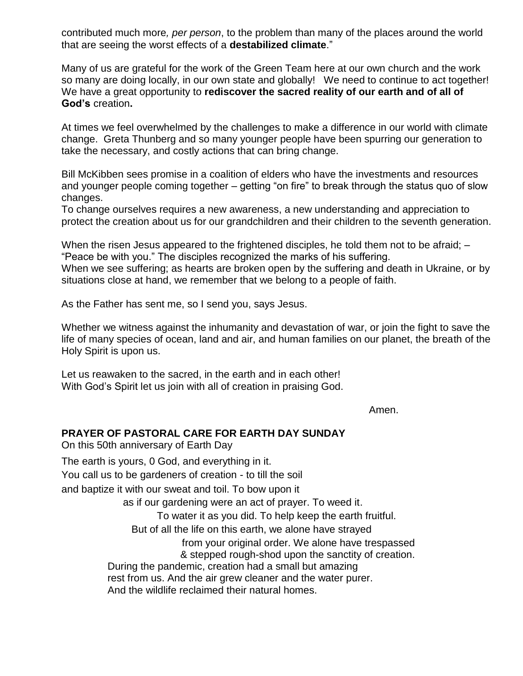contributed much more*, per person*, to the problem than many of the places around the world that are seeing the worst effects of a **destabilized climate**."

Many of us are grateful for the work of the Green Team here at our own church and the work so many are doing locally, in our own state and globally! We need to continue to act together! We have a great opportunity to **rediscover the sacred reality of our earth and of all of God's** creation**.**

At times we feel overwhelmed by the challenges to make a difference in our world with climate change. Greta Thunberg and so many younger people have been spurring our generation to take the necessary, and costly actions that can bring change.

Bill McKibben sees promise in a coalition of elders who have the investments and resources and younger people coming together – getting "on fire" to break through the status quo of slow changes.

To change ourselves requires a new awareness, a new understanding and appreciation to protect the creation about us for our grandchildren and their children to the seventh generation.

When the risen Jesus appeared to the frightened disciples, he told them not to be afraid;  $-$ "Peace be with you." The disciples recognized the marks of his suffering.

When we see suffering; as hearts are broken open by the suffering and death in Ukraine, or by situations close at hand, we remember that we belong to a people of faith.

As the Father has sent me, so I send you, says Jesus.

Whether we witness against the inhumanity and devastation of war, or join the fight to save the life of many species of ocean, land and air, and human families on our planet, the breath of the Holy Spirit is upon us.

Let us reawaken to the sacred, in the earth and in each other! With God's Spirit let us join with all of creation in praising God.

Amen.

## **PRAYER OF PASTORAL CARE FOR EARTH DAY SUNDAY**

On this 50th anniversary of Earth Day The earth is yours, 0 God, and everything in it. You call us to be gardeners of creation - to till the soil and baptize it with our sweat and toil. To bow upon it as if our gardening were an act of prayer. To weed it. To water it as you did. To help keep the earth fruitful. But of all the life on this earth, we alone have strayed from your original order. We alone have trespassed & stepped rough-shod upon the sanctity of creation. During the pandemic, creation had a small but amazing rest from us. And the air grew cleaner and the water purer. And the wildlife reclaimed their natural homes.